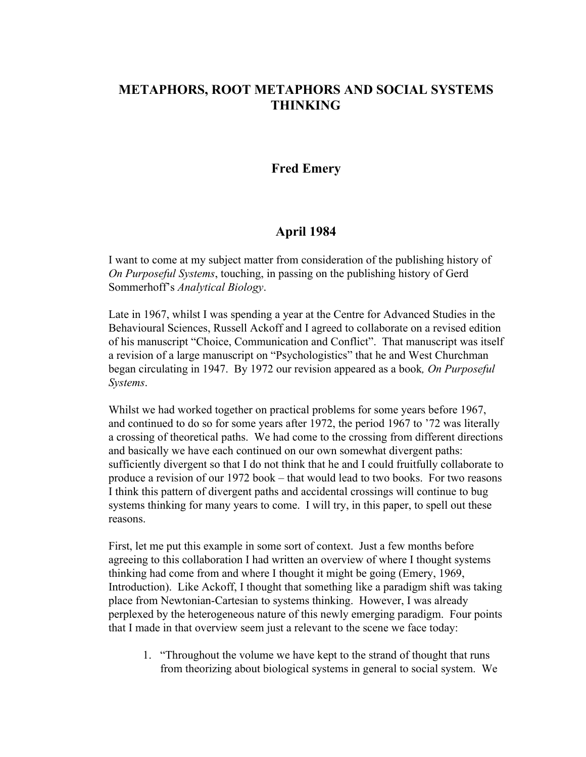# **METAPHORS, ROOT METAPHORS AND SOCIAL SYSTEMS THINKING**

### **Fred Emery**

### **April 1984**

I want to come at my subject matter from consideration of the publishing history of *On Purposeful Systems*, touching, in passing on the publishing history of Gerd Sommerhoff's *Analytical Biology*.

Late in 1967, whilst I was spending a year at the Centre for Advanced Studies in the Behavioural Sciences, Russell Ackoff and I agreed to collaborate on a revised edition of his manuscript "Choice, Communication and Conflict". That manuscript was itself a revision of a large manuscript on "Psychologistics" that he and West Churchman began circulating in 1947. By 1972 our revision appeared as a book*, On Purposeful Systems*.

Whilst we had worked together on practical problems for some years before 1967, and continued to do so for some years after 1972, the period 1967 to '72 was literally a crossing of theoretical paths. We had come to the crossing from different directions and basically we have each continued on our own somewhat divergent paths: sufficiently divergent so that I do not think that he and I could fruitfully collaborate to produce a revision of our 1972 book – that would lead to two books. For two reasons I think this pattern of divergent paths and accidental crossings will continue to bug systems thinking for many years to come. I will try, in this paper, to spell out these reasons.

First, let me put this example in some sort of context. Just a few months before agreeing to this collaboration I had written an overview of where I thought systems thinking had come from and where I thought it might be going (Emery, 1969, Introduction). Like Ackoff, I thought that something like a paradigm shift was taking place from Newtonian-Cartesian to systems thinking. However, I was already perplexed by the heterogeneous nature of this newly emerging paradigm. Four points that I made in that overview seem just a relevant to the scene we face today:

1. "Throughout the volume we have kept to the strand of thought that runs from theorizing about biological systems in general to social system. We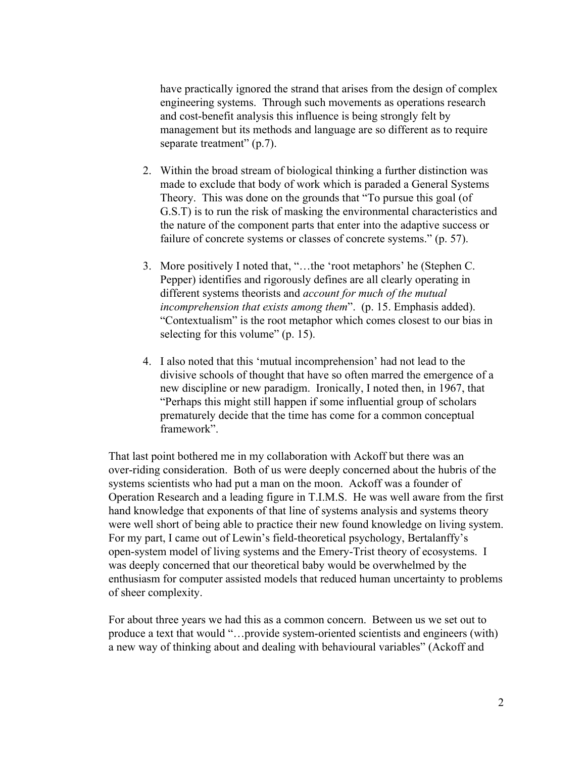have practically ignored the strand that arises from the design of complex engineering systems. Through such movements as operations research and cost-benefit analysis this influence is being strongly felt by management but its methods and language are so different as to require separate treatment" (p.7).

- 2. Within the broad stream of biological thinking a further distinction was made to exclude that body of work which is paraded a General Systems Theory. This was done on the grounds that "To pursue this goal (of G.S.T) is to run the risk of masking the environmental characteristics and the nature of the component parts that enter into the adaptive success or failure of concrete systems or classes of concrete systems." (p. 57).
- 3. More positively I noted that, "…the 'root metaphors' he (Stephen C. Pepper) identifies and rigorously defines are all clearly operating in different systems theorists and *account for much of the mutual incomprehension that exists among them*". (p. 15. Emphasis added). "Contextualism" is the root metaphor which comes closest to our bias in selecting for this volume" (p. 15).
- 4. I also noted that this 'mutual incomprehension' had not lead to the divisive schools of thought that have so often marred the emergence of a new discipline or new paradigm. Ironically, I noted then, in 1967, that "Perhaps this might still happen if some influential group of scholars prematurely decide that the time has come for a common conceptual framework".

That last point bothered me in my collaboration with Ackoff but there was an over-riding consideration. Both of us were deeply concerned about the hubris of the systems scientists who had put a man on the moon. Ackoff was a founder of Operation Research and a leading figure in T.I.M.S. He was well aware from the first hand knowledge that exponents of that line of systems analysis and systems theory were well short of being able to practice their new found knowledge on living system. For my part, I came out of Lewin's field-theoretical psychology, Bertalanffy's open-system model of living systems and the Emery-Trist theory of ecosystems. I was deeply concerned that our theoretical baby would be overwhelmed by the enthusiasm for computer assisted models that reduced human uncertainty to problems of sheer complexity.

For about three years we had this as a common concern. Between us we set out to produce a text that would "…provide system-oriented scientists and engineers (with) a new way of thinking about and dealing with behavioural variables" (Ackoff and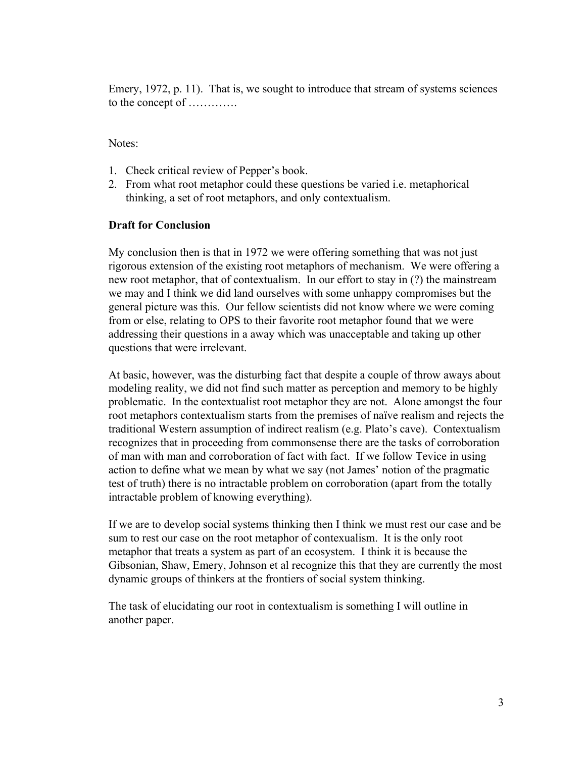Emery, 1972, p. 11). That is, we sought to introduce that stream of systems sciences to the concept of ………….

Notes:

- 1. Check critical review of Pepper's book.
- 2. From what root metaphor could these questions be varied i.e. metaphorical thinking, a set of root metaphors, and only contextualism.

### **Draft for Conclusion**

My conclusion then is that in 1972 we were offering something that was not just rigorous extension of the existing root metaphors of mechanism. We were offering a new root metaphor, that of contextualism. In our effort to stay in (?) the mainstream we may and I think we did land ourselves with some unhappy compromises but the general picture was this. Our fellow scientists did not know where we were coming from or else, relating to OPS to their favorite root metaphor found that we were addressing their questions in a away which was unacceptable and taking up other questions that were irrelevant.

At basic, however, was the disturbing fact that despite a couple of throw aways about modeling reality, we did not find such matter as perception and memory to be highly problematic. In the contextualist root metaphor they are not. Alone amongst the four root metaphors contextualism starts from the premises of naïve realism and rejects the traditional Western assumption of indirect realism (e.g. Plato's cave). Contextualism recognizes that in proceeding from commonsense there are the tasks of corroboration of man with man and corroboration of fact with fact. If we follow Tevice in using action to define what we mean by what we say (not James' notion of the pragmatic test of truth) there is no intractable problem on corroboration (apart from the totally intractable problem of knowing everything).

If we are to develop social systems thinking then I think we must rest our case and be sum to rest our case on the root metaphor of contexualism. It is the only root metaphor that treats a system as part of an ecosystem. I think it is because the Gibsonian, Shaw, Emery, Johnson et al recognize this that they are currently the most dynamic groups of thinkers at the frontiers of social system thinking.

The task of elucidating our root in contextualism is something I will outline in another paper.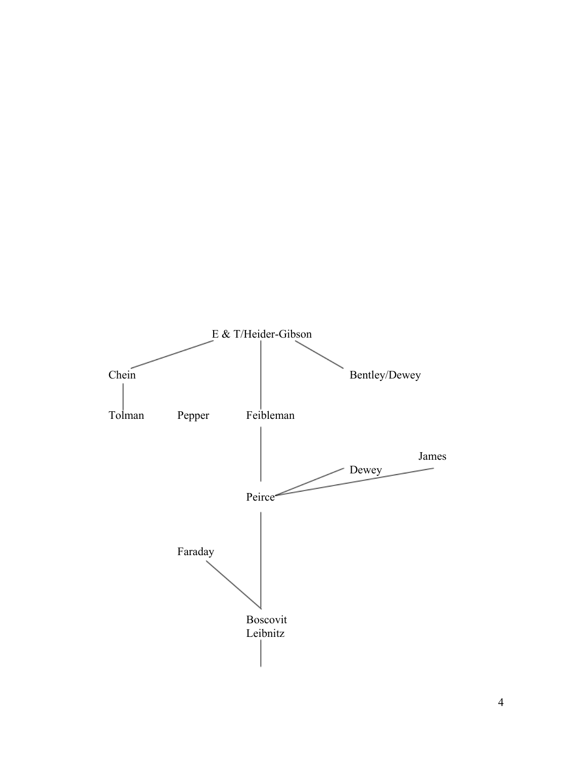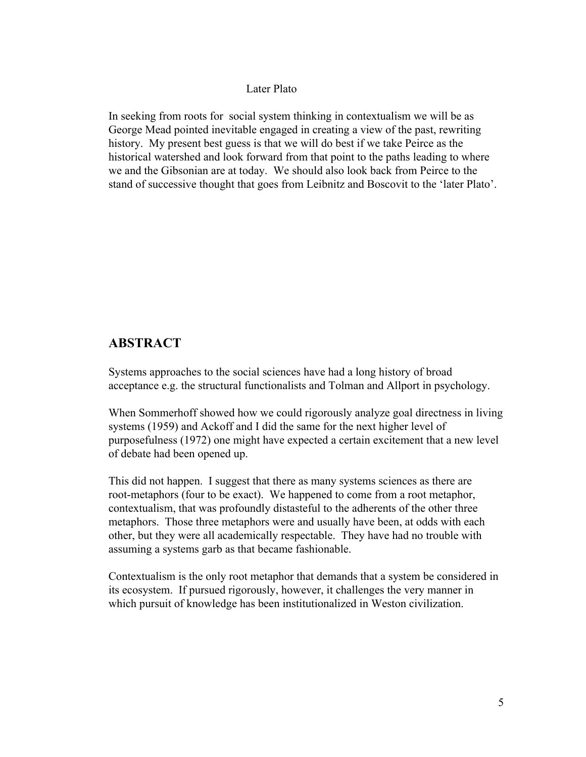#### Later Plato

In seeking from roots for social system thinking in contextualism we will be as George Mead pointed inevitable engaged in creating a view of the past, rewriting history. My present best guess is that we will do best if we take Peirce as the historical watershed and look forward from that point to the paths leading to where we and the Gibsonian are at today. We should also look back from Peirce to the stand of successive thought that goes from Leibnitz and Boscovit to the 'later Plato'.

## **ABSTRACT**

Systems approaches to the social sciences have had a long history of broad acceptance e.g. the structural functionalists and Tolman and Allport in psychology.

When Sommerhoff showed how we could rigorously analyze goal directness in living systems (1959) and Ackoff and I did the same for the next higher level of purposefulness (1972) one might have expected a certain excitement that a new level of debate had been opened up.

This did not happen. I suggest that there as many systems sciences as there are root-metaphors (four to be exact). We happened to come from a root metaphor, contextualism, that was profoundly distasteful to the adherents of the other three metaphors. Those three metaphors were and usually have been, at odds with each other, but they were all academically respectable. They have had no trouble with assuming a systems garb as that became fashionable.

Contextualism is the only root metaphor that demands that a system be considered in its ecosystem. If pursued rigorously, however, it challenges the very manner in which pursuit of knowledge has been institutionalized in Weston civilization.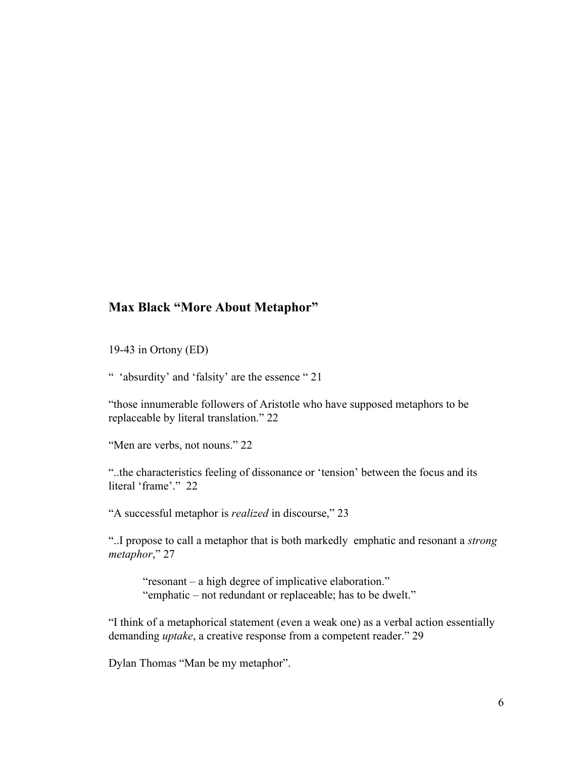### **Max Black "More About Metaphor"**

19-43 in Ortony (ED)

" 'absurdity' and 'falsity' are the essence " 21

"those innumerable followers of Aristotle who have supposed metaphors to be replaceable by literal translation." 22

"Men are verbs, not nouns." 22

"..the characteristics feeling of dissonance or 'tension' between the focus and its literal 'frame'." 22

"A successful metaphor is *realized* in discourse," 23

"..I propose to call a metaphor that is both markedly emphatic and resonant a *strong metaphor*," 27

"resonant – a high degree of implicative elaboration." "emphatic – not redundant or replaceable; has to be dwelt."

"I think of a metaphorical statement (even a weak one) as a verbal action essentially demanding *uptake*, a creative response from a competent reader." 29

Dylan Thomas "Man be my metaphor".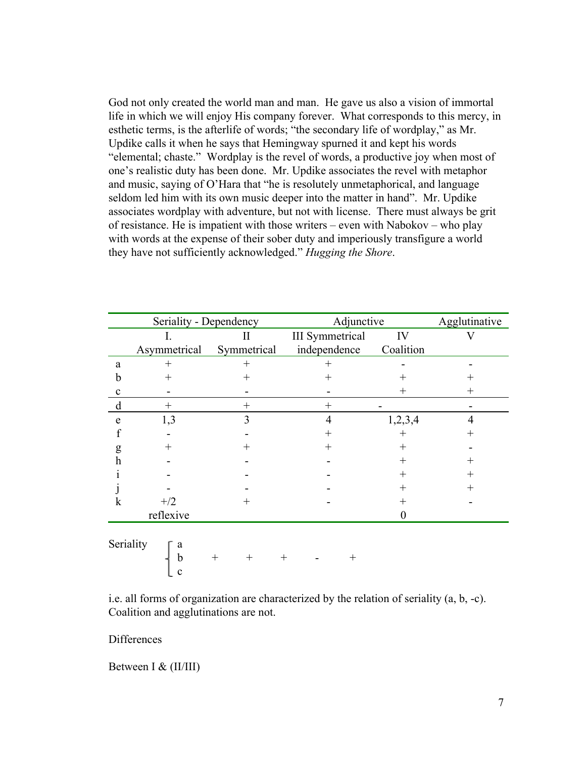God not only created the world man and man. He gave us also a vision of immortal life in which we will enjoy His company forever. What corresponds to this mercy, in esthetic terms, is the afterlife of words; "the secondary life of wordplay," as Mr. Updike calls it when he says that Hemingway spurned it and kept his words "elemental; chaste." Wordplay is the revel of words, a productive joy when most of one's realistic duty has been done. Mr. Updike associates the revel with metaphor and music, saying of O'Hara that "he is resolutely unmetaphorical, and language seldom led him with its own music deeper into the matter in hand". Mr. Updike associates wordplay with adventure, but not with license. There must always be grit of resistance. He is impatient with those writers – even with Nabokov – who play with words at the expense of their sober duty and imperiously transfigure a world they have not sufficiently acknowledged." *Hugging the Shore*.

|             | Seriality - Dependency |             | Adjunctive             |                    | Agglutinative |
|-------------|------------------------|-------------|------------------------|--------------------|---------------|
|             | Ι.                     | П           | <b>III</b> Symmetrical | IV                 |               |
|             | Asymmetrical           | Symmetrical | independence           | Coalition          |               |
| a           | $^+$                   |             |                        |                    |               |
| n           | $^{+}$                 | $^+$        | $^+$                   |                    |               |
| $\mathbf c$ |                        |             |                        | $^+$               |               |
| d           | $^+$                   |             | $^+$                   |                    |               |
| e           | 1,3                    |             | 4                      | 1,2,3,4            |               |
|             |                        |             | $^+$                   | ┿                  |               |
| g           | $\, +$                 |             | $\, +$                 | $^+$               |               |
| h           |                        |             |                        | $\hspace{0.1mm} +$ | +             |
|             |                        |             |                        |                    |               |
|             |                        |             |                        |                    |               |
| k           | $+/2$                  | $\pm$       |                        | $^+$               |               |
|             | reflexive              |             |                        |                    |               |
|             | $\sum_{n=1}^{\infty}$  |             |                        |                    |               |

Seriality b + + + - + c

i.e. all forms of organization are characterized by the relation of seriality (a, b, -c). Coalition and agglutinations are not.

**Differences** 

Between I & (II/III)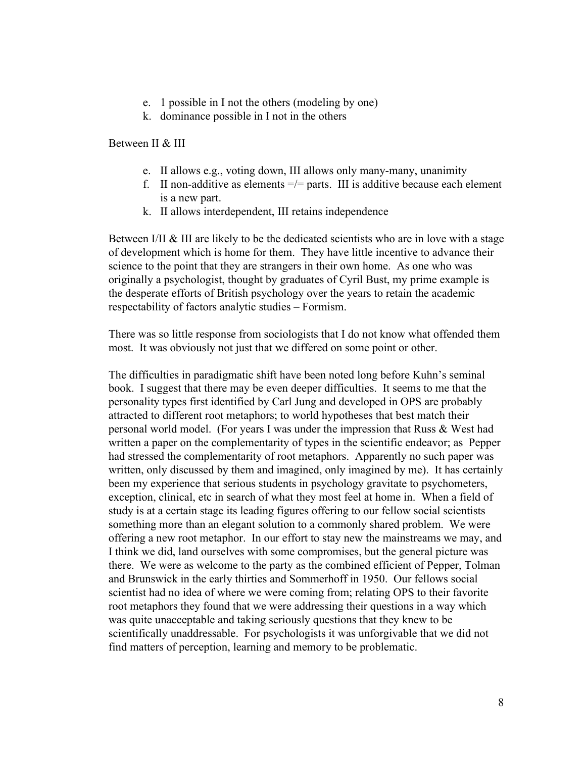- e. 1 possible in I not the others (modeling by one)
- k. dominance possible in I not in the others

Between II & III

- e. II allows e.g., voting down, III allows only many-many, unanimity
- f. II non-additive as elements  $=$   $/$ = parts. III is additive because each element is a new part.
- k. II allows interdependent, III retains independence

Between I/II & III are likely to be the dedicated scientists who are in love with a stage of development which is home for them. They have little incentive to advance their science to the point that they are strangers in their own home. As one who was originally a psychologist, thought by graduates of Cyril Bust, my prime example is the desperate efforts of British psychology over the years to retain the academic respectability of factors analytic studies – Formism.

There was so little response from sociologists that I do not know what offended them most. It was obviously not just that we differed on some point or other.

The difficulties in paradigmatic shift have been noted long before Kuhn's seminal book. I suggest that there may be even deeper difficulties. It seems to me that the personality types first identified by Carl Jung and developed in OPS are probably attracted to different root metaphors; to world hypotheses that best match their personal world model. (For years I was under the impression that Russ & West had written a paper on the complementarity of types in the scientific endeavor; as Pepper had stressed the complementarity of root metaphors. Apparently no such paper was written, only discussed by them and imagined, only imagined by me). It has certainly been my experience that serious students in psychology gravitate to psychometers, exception, clinical, etc in search of what they most feel at home in. When a field of study is at a certain stage its leading figures offering to our fellow social scientists something more than an elegant solution to a commonly shared problem. We were offering a new root metaphor. In our effort to stay new the mainstreams we may, and I think we did, land ourselves with some compromises, but the general picture was there. We were as welcome to the party as the combined efficient of Pepper, Tolman and Brunswick in the early thirties and Sommerhoff in 1950. Our fellows social scientist had no idea of where we were coming from; relating OPS to their favorite root metaphors they found that we were addressing their questions in a way which was quite unacceptable and taking seriously questions that they knew to be scientifically unaddressable. For psychologists it was unforgivable that we did not find matters of perception, learning and memory to be problematic.